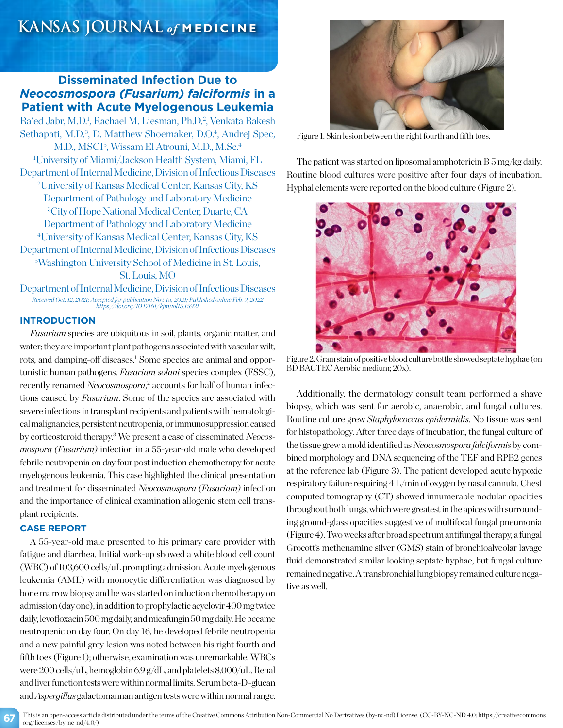# **KANSAS JOURNAL** *of* **MEDICINE**

## **Disseminated Infection Due to**  *Neocosmospora (Fusarium) falciformis* **in a Patient with Acute Myelogenous Leukemia**

Ra'ed Jabr, M.D.<sup>1</sup>, Rachael M. Liesman, Ph.D.<sup>2</sup>, Venkata Rakesh Sethapati, M.D.<sup>3</sup>, D. Matthew Shoemaker, D.O.<sup>4</sup>, Andrej Spec, M.D., MSCI<sup>5</sup>, Wissam El Atrouni, M.D., M.Sc.<sup>4</sup> 1 University of Miami/Jackson Health System, Miami, FL Department of Internal Medicine, Division of Infectious Diseases 2 University of Kansas Medical Center, Kansas City, KS Department of Pathology and Laboratory Medicine 3 City of Hope National Medical Center, Duarte, CA Department of Pathology and Laboratory Medicine 4 University of Kansas Medical Center, Kansas City, KS Department of Internal Medicine, Division of Infectious Diseases 5 Washington University School of Medicine in St. Louis, St. Louis, MO

Department of Internal Medicine, Division of Infectious Diseases *Received Oct. 12, 2021; Accepted for publication Nov. 15, 2021; Published online Feb. 9, 2022 https://doi.org/10.17161/kjm.vol15.15921*

### **INTRODUCTION**

*Fusarium* species are ubiquitous in soil, plants, organic matter, and water; they are important plant pathogens associated with vascular wilt, rots, and damping-off diseases.<sup>1</sup> Some species are animal and opportunistic human pathogens. *Fusarium solani* species complex (FSSC), recently renamed *Neocosmospora*,<sup>2</sup> accounts for half of human infections caused by *Fusarium*. Some of the species are associated with severe infections in transplant recipients and patients with hematological malignancies, persistent neutropenia, or immunosuppression caused by corticosteroid therapy.3 We present a case of disseminated *Neocosmospora (Fusarium)* infection in a 55-year-old male who developed febrile neutropenia on day four post induction chemotherapy for acute myelogenous leukemia. This case highlighted the clinical presentation and treatment for disseminated *Neocosmospora (Fusarium)* infection and the importance of clinical examination allogenic stem cell transplant recipients.

### **CASE REPORT**

A 55-year-old male presented to his primary care provider with fatigue and diarrhea. Initial work-up showed a white blood cell count (WBC) of 103,600 cells/uL prompting admission. Acute myelogenous leukemia (AML) with monocytic differentiation was diagnosed by bone marrow biopsy and he was started on induction chemotherapy on admission (day one), in addition to prophylactic acyclovir 400 mg twice daily, levofloxacin 500 mg daily, and micafungin 50 mg daily. He became neutropenic on day four. On day 16, he developed febrile neutropenia and a new painful grey lesion was noted between his right fourth and fifth toes (Figure 1); otherwise, examination was unremarkable. WBCs were 200 cells/uL, hemoglobin 6.9 g/dL, and platelets 8,000/uL. Renal and liver function tests were within normal limits. Serum beta-D-glucan and *Aspergillus* galactomannan antigen tests were within normal range.



Figure 1. Skin lesion between the right fourth and fifth toes.

The patient was started on liposomal amphotericin B 5 mg/kg daily. Routine blood cultures were positive after four days of incubation. Hyphal elements were reported on the blood culture (Figure 2).



Figure 2. Gram stain of positive blood culture bottle showed septate hyphae (on BD BACTEC Aerobic medium; 20x).

Additionally, the dermatology consult team performed a shave biopsy, which was sent for aerobic, anaerobic, and fungal cultures. Routine culture grew *Staphylococcus epidermidis*. No tissue was sent for histopathology. After three days of incubation, the fungal culture of the tissue grew a mold identified as *Neocosmospora falciformis* by combined morphology and DNA sequencing of the TEF and RPB2 genes at the reference lab (Figure 3). The patient developed acute hypoxic respiratory failure requiring 4 L/min of oxygen by nasal cannula. Chest computed tomography (CT) showed innumerable nodular opacities throughout both lungs, which were greatest in the apices with surrounding ground-glass opacities suggestive of multifocal fungal pneumonia (Figure 4). Two weeks after broad spectrum antifungal therapy, a fungal Grocott's methenamine silver (GMS) stain of bronchioalveolar lavage fluid demonstrated similar looking septate hyphae, but fungal culture remained negative. A transbronchial lung biopsy remained culture negative as well.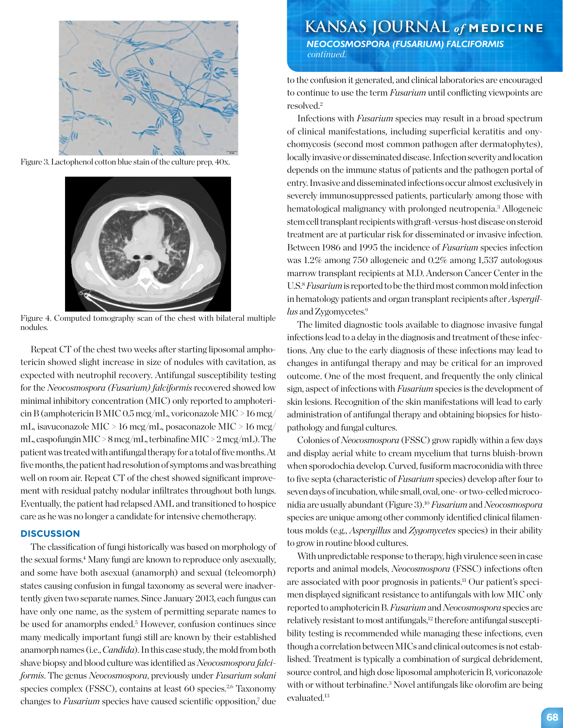

Figure 3. Lactophenol cotton blue stain of the culture prep, 40x.



Figure 4. Computed tomography scan of the chest with bilateral multiple nodules.

Repeat CT of the chest two weeks after starting liposomal amphotericin showed slight increase in size of nodules with cavitation, as expected with neutrophil recovery. Antifungal susceptibility testing for the *Neocosmospora (Fusarium) falciformis* recovered showed low minimal inhibitory concentration (MIC) only reported to amphotericin B (amphotericin B MIC 0.5 mcg/mL, voriconazole MIC > 16 mcg/ mL, isavuconazole MIC > 16 mcg/mL, posaconazole MIC > 16 mcg/ mL, caspofungin MIC > 8 mcg/mL, terbinafine MIC > 2 mcg/mL). The patient was treated with antifungal therapy for a total of five months. At five months, the patient had resolution of symptoms and was breathing well on room air. Repeat CT of the chest showed significant improvement with residual patchy nodular infiltrates throughout both lungs. Eventually, the patient had relapsed AML and transitioned to hospice care as he was no longer a candidate for intensive chemotherapy.

#### **DISCUSSION**

The classification of fungi historically was based on morphology of the sexual forms.4 Many fungi are known to reproduce only asexually, and some have both asexual (anamorph) and sexual (teleomorph) states causing confusion in fungal taxonomy as several were inadvertently given two separate names. Since January 2013, each fungus can have only one name, as the system of permitting separate names to be used for anamorphs ended.<sup>5</sup> However, confusion continues since many medically important fungi still are known by their established anamorph names (i.e., *Candida*). In this case study, the mold from both shave biopsy and blood culture was identified as *Neocosmospora falciformis*. The genus *Neocosmospora*, previously under *Fusarium solani* species complex (FSSC), contains at least  $60$  species.<sup>2,6</sup> Taxonomy changes to *Fusarium* species have caused scientific opposition,<sup>7</sup> due to the confusion it generated, and clinical laboratories are encouraged to continue to use the term *Fusarium* until conflicting viewpoints are resolved.2

Infections with *Fusarium* species may result in a broad spectrum of clinical manifestations, including superficial keratitis and onychomycosis (second most common pathogen after dermatophytes), locally invasive or disseminated disease. Infection severity and location depends on the immune status of patients and the pathogen portal of entry. Invasive and disseminated infections occur almost exclusively in severely immunosuppressed patients, particularly among those with hematological malignancy with prolonged neutropenia.<sup>3</sup> Allogeneic stem cell transplant recipients with graft-versus-host disease on steroid treatment are at particular risk for disseminated or invasive infection. Between 1986 and 1995 the incidence of *Fusarium* species infection was 1.2% among 750 allogeneic and 0.2% among 1,537 autologous marrow transplant recipients at M.D. Anderson Cancer Center in the U.S.8*Fusarium* is reported to be the third most common mold infection in hematology patients and organ transplant recipients after *Aspergillus* and Zygomycetes.<sup>9</sup>

The limited diagnostic tools available to diagnose invasive fungal infections lead to a delay in the diagnosis and treatment of these infections. Any clue to the early diagnosis of these infections may lead to changes in antifungal therapy and may be critical for an improved outcome. One of the most frequent, and frequently the only clinical sign, aspect of infections with *Fusarium* species is the development of skin lesions. Recognition of the skin manifestations will lead to early administration of antifungal therapy and obtaining biopsies for histopathology and fungal cultures.

Colonies of *Neocosmospora* (FSSC) grow rapidly within a few days and display aerial white to cream mycelium that turns bluish-brown when sporodochia develop. Curved, fusiform macroconidia with three to five septa (characteristic of *Fusarium* species) develop after four to seven days of incubation, while small, oval, one- or two-celled microconidia are usually abundant (Figure 3).10 *Fusarium* and *Neocosmospora* species are unique among other commonly identified clinical filamentous molds (e.g., *Aspergillus* and *Zygomycetes* species) in their ability to grow in routine blood cultures.

With unpredictable response to therapy, high virulence seen in case reports and animal models, *Neocosmospora* (FSSC) infections often are associated with poor prognosis in patients.<sup>11</sup> Our patient's specimen displayed significant resistance to antifungals with low MIC only reported to amphotericin B. *Fusarium* and *Neocosmospora* species are relatively resistant to most antifungals,<sup>12</sup> therefore antifungal susceptibility testing is recommended while managing these infections, even though a correlation between MICs and clinical outcomes is not established. Treatment is typically a combination of surgical debridement, source control, and high dose liposomal amphotericin B, voriconazole with or without terbinafine.3 Novel antifungals like olorofim are being evaluated.<sup>13</sup>